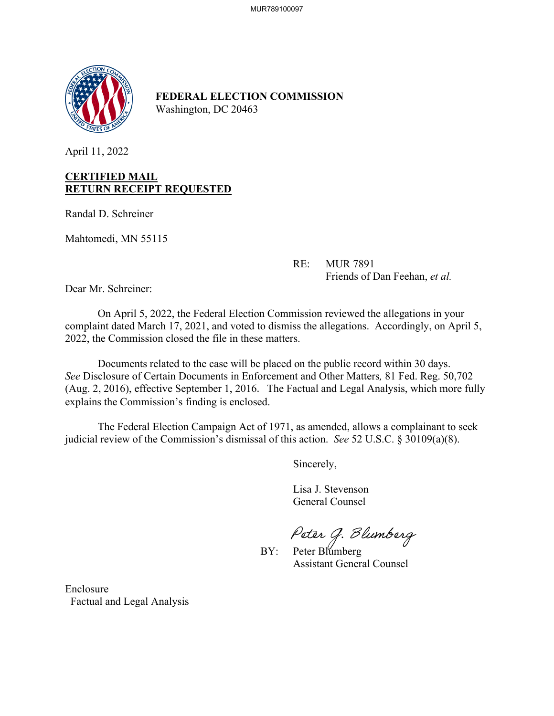

**FEDERAL ELECTION COMMISSION** Washington, DC 20463

April 11, 2022

#### **CERTIFIED MAIL RETURN RECEIPT REQUESTED**

Randal D. Schreiner

Mahtomedi, MN 55115

 RE: MUR 7891 Friends of Dan Feehan, *et al.*

Dear Mr. Schreiner:

On April 5, 2022, the Federal Election Commission reviewed the allegations in your complaint dated March 17, 2021, and voted to dismiss the allegations. Accordingly, on April 5, 2022, the Commission closed the file in these matters.

Documents related to the case will be placed on the public record within 30 days. *See* Disclosure of Certain Documents in Enforcement and Other Matters*,* 81 Fed. Reg. 50,702 (Aug. 2, 2016), effective September 1, 2016. The Factual and Legal Analysis, which more fully explains the Commission's finding is enclosed.

 The Federal Election Campaign Act of 1971, as amended, allows a complainant to seek judicial review of the Commission's dismissal of this action. *See* 52 U.S.C. § 30109(a)(8).

Sincerely,

 Lisa J. Stevenson General Counsel

Peter G. Blumberg<br>BY: Peter Blumberg

Assistant General Counsel

Enclosure Factual and Legal Analysis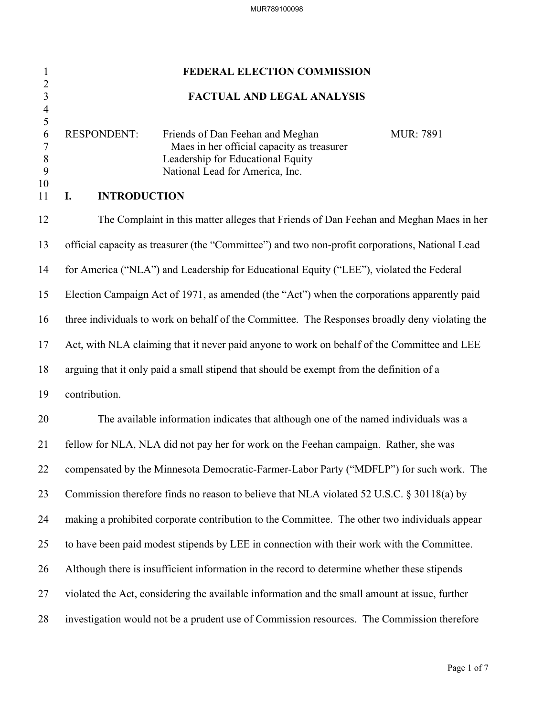# 1 **FEDERAL ELECTION COMMISSION** 2 3 **FACTUAL AND LEGAL ANALYSIS** 4  $\frac{5}{6}$ RESPONDENT: Friends of Dan Feehan and Meghan MUR: 7891 7 Maes in her official capacity as treasurer 8 Leadership for Educational Equity 9 National Lead for America, Inc. 10 11 **I. INTRODUCTION** 12 The Complaint in this matter alleges that Friends of Dan Feehan and Meghan Maes in her 13 official capacity as treasurer (the "Committee") and two non-profit corporations, National Lead 14 for America ("NLA") and Leadership for Educational Equity ("LEE"), violated the Federal 15 Election Campaign Act of 1971, as amended (the "Act") when the corporations apparently paid 16 three individuals to work on behalf of the Committee. The Responses broadly deny violating the 17 Act, with NLA claiming that it never paid anyone to work on behalf of the Committee and LEE 18 arguing that it only paid a small stipend that should be exempt from the definition of a 19 contribution. 20 The available information indicates that although one of the named individuals was a 21 fellow for NLA, NLA did not pay her for work on the Feehan campaign. Rather, she was 22 compensated by the Minnesota Democratic-Farmer-Labor Party ("MDFLP") for such work. The 23 Commission therefore finds no reason to believe that NLA violated 52 U.S.C. § 30118(a) by 24 making a prohibited corporate contribution to the Committee. The other two individuals appear 25 to have been paid modest stipends by LEE in connection with their work with the Committee. 26 Although there is insufficient information in the record to determine whether these stipends 27 violated the Act, considering the available information and the small amount at issue, further 28 investigation would not be a prudent use of Commission resources. The Commission therefore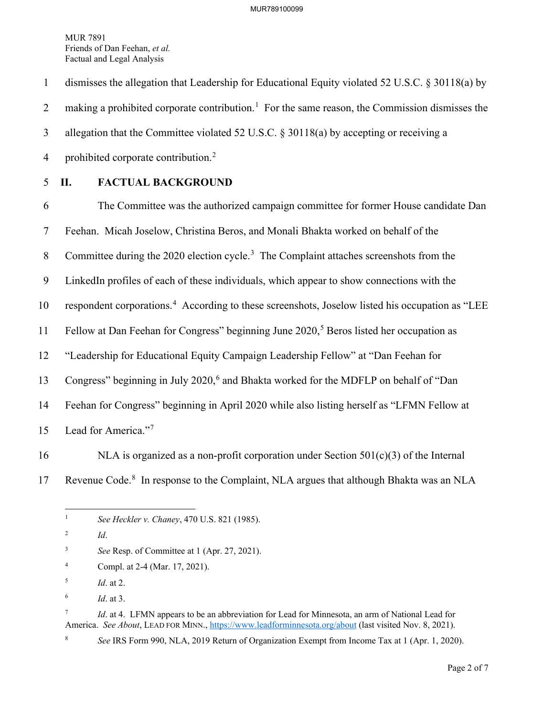1 dismisses the allegation that Leadership for Educational Equity violated 52 U.S.C. § 30118(a) by 2 making a prohibited corporate contribution.<sup>[1](#page-2-0)</sup> For the same reason, the Commission dismisses the 3 allegation that the Committee violated 52 U.S.C. § 30118(a) by accepting or receiving a 4 prohibited corporate contribution.<sup>[2](#page-2-1)</sup>

## 5 **II. FACTUAL BACKGROUND**

6 The Committee was the authorized campaign committee for former House candidate Dan 7 Feehan. Micah Joselow, Christina Beros, and Monali Bhakta worked on behalf of the 8 Committee during the 2020 election cycle.<sup>[3](#page-2-2)</sup> The Complaint attaches screenshots from the 9 LinkedIn profiles of each of these individuals, which appear to show connections with the 10 respondent corporations.<sup>[4](#page-2-3)</sup> According to these screenshots, Joselow listed his occupation as "LEE 11 Fellow at Dan Feehan for Congress" beginning June  $2020$ ,<sup>[5](#page-2-4)</sup> Beros listed her occupation as 12 "Leadership for Educational Equity Campaign Leadership Fellow" at "Dan Feehan for 13 Congress" beginning in July 2020,<sup>[6](#page-2-5)</sup> and Bhakta worked for the MDFLP on behalf of "Dan 14 Feehan for Congress" beginning in April 2020 while also listing herself as "LFMN Fellow at 15 Lead for America."<sup>[7](#page-2-6)</sup>

- 16 NLA is organized as a non-profit corporation under Section  $501(c)(3)$  of the Internal
- 

<span id="page-2-0"></span>17 Revenue Code.<sup>[8](#page-2-7)</sup> In response to the Complaint, NLA argues that although Bhakta was an NLA

- <span id="page-2-2"></span>3 *See* Resp. of Committee at 1 (Apr. 27, 2021).
- <span id="page-2-3"></span>4 Compl. at 2-4 (Mar. 17, 2021).

6 *Id*. at 3.

<span id="page-2-7"></span>8

<span id="page-2-6"></span><span id="page-2-5"></span>7 *Id*. at 4. LFMN appears to be an abbreviation for Lead for Minnesota, an arm of National Lead for America. *See About*, LEAD FOR MINN.,<https://www.leadforminnesota.org/about> (last visited Nov. 8, 2021).

*See* IRS Form 990, NLA, 2019 Return of Organization Exempt from Income Tax at 1 (Apr. 1, 2020).

<sup>1</sup> *See Heckler v. Chaney*, 470 U.S. 821 (1985).

<span id="page-2-1"></span><sup>2</sup> *Id*.

<span id="page-2-4"></span><sup>5</sup> *Id*. at 2.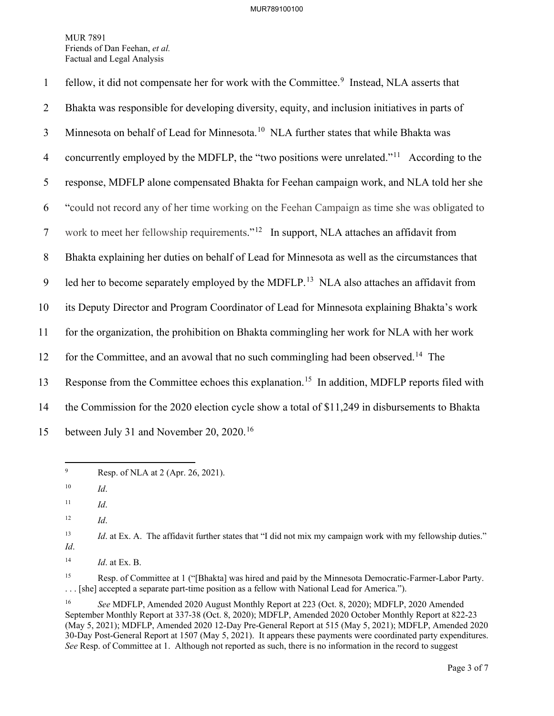| $\mathbf{1}$   | fellow, it did not compensate her for work with the Committee. <sup>9</sup> Instead, NLA asserts that    |
|----------------|----------------------------------------------------------------------------------------------------------|
| $\overline{2}$ | Bhakta was responsible for developing diversity, equity, and inclusion initiatives in parts of           |
| 3              | Minnesota on behalf of Lead for Minnesota. <sup>10</sup> NLA further states that while Bhakta was        |
| $\overline{4}$ | concurrently employed by the MDFLP, the "two positions were unrelated." <sup>11</sup> According to the   |
| 5              | response, MDFLP alone compensated Bhakta for Feehan campaign work, and NLA told her she                  |
| 6              | "could not record any of her time working on the Feehan Campaign as time she was obligated to            |
| $\tau$         | work to meet her fellowship requirements." <sup>12</sup> In support, NLA attaches an affidavit from      |
| 8              | Bhakta explaining her duties on behalf of Lead for Minnesota as well as the circumstances that           |
| 9              | led her to become separately employed by the MDFLP. <sup>13</sup> NLA also attaches an affidavit from    |
| 10             | its Deputy Director and Program Coordinator of Lead for Minnesota explaining Bhakta's work               |
| 11             | for the organization, the prohibition on Bhakta commingling her work for NLA with her work               |
| 12             | for the Committee, and an avowal that no such commingling had been observed. <sup>14</sup> The           |
| 13             | Response from the Committee echoes this explanation. <sup>15</sup> In addition, MDFLP reports filed with |
| 14             | the Commission for the 2020 election cycle show a total of \$11,249 in disbursements to Bhakta           |
| 15             | between July 31 and November 20, 2020. <sup>16</sup>                                                     |

<span id="page-3-0"></span><sup>9</sup> Resp. of NLA at 2 (Apr. 26, 2021).

<span id="page-3-6"></span><sup>15</sup> Resp. of Committee at 1 ("[Bhakta] was hired and paid by the Minnesota Democratic-Farmer-Labor Party. . . . [she] accepted a separate part-time position as a fellow with National Lead for America.").

<span id="page-3-1"></span><sup>10</sup> *Id*.

<span id="page-3-2"></span> $11$  *Id.* 

<span id="page-3-3"></span><sup>12</sup> *Id*.

<span id="page-3-4"></span><sup>&</sup>lt;sup>13</sup> *Id.* at Ex. A. The affidavit further states that "I did not mix my campaign work with my fellowship duties." *Id*.

<span id="page-3-5"></span><sup>14</sup> *Id*. at Ex. B.

<span id="page-3-7"></span><sup>16</sup> *See* MDFLP, Amended 2020 August Monthly Report at 223 (Oct. 8, 2020); MDFLP, 2020 Amended September Monthly Report at 337-38 (Oct. 8, 2020); MDFLP, Amended 2020 October Monthly Report at 822-23 (May 5, 2021); MDFLP, Amended 2020 12-Day Pre-General Report at 515 (May 5, 2021); MDFLP, Amended 2020 30-Day Post-General Report at 1507 (May 5, 2021). It appears these payments were coordinated party expenditures. *See* Resp. of Committee at 1. Although not reported as such, there is no information in the record to suggest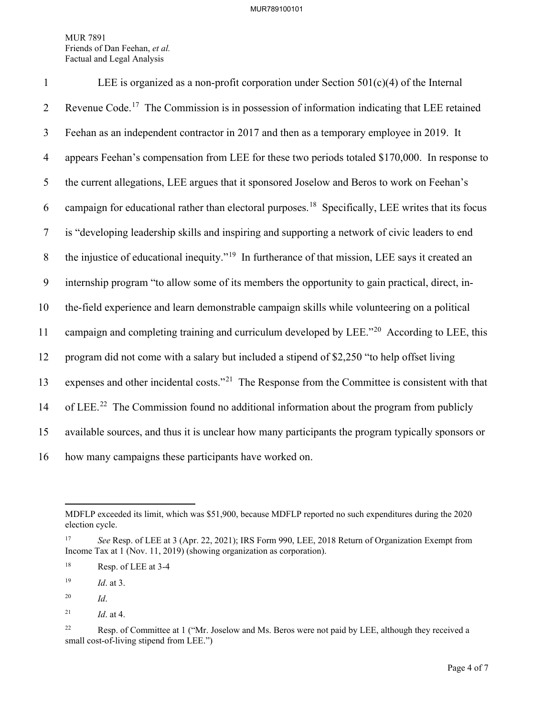| $\mathbf{1}$   | LEE is organized as a non-profit corporation under Section $501(c)(4)$ of the Internal                         |
|----------------|----------------------------------------------------------------------------------------------------------------|
| $\overline{2}$ | Revenue Code. <sup>17</sup> The Commission is in possession of information indicating that LEE retained        |
| 3              | Feehan as an independent contractor in 2017 and then as a temporary employee in 2019. It                       |
| $\overline{4}$ | appears Feehan's compensation from LEE for these two periods totaled \$170,000. In response to                 |
| 5              | the current allegations, LEE argues that it sponsored Joselow and Beros to work on Feehan's                    |
| 6              | campaign for educational rather than electoral purposes. <sup>18</sup> Specifically, LEE writes that its focus |
| $\tau$         | is "developing leadership skills and inspiring and supporting a network of civic leaders to end                |
| 8              | the injustice of educational inequity." <sup>19</sup> In furtherance of that mission, LEE says it created an   |
| 9              | internship program "to allow some of its members the opportunity to gain practical, direct, in-                |
| 10             | the-field experience and learn demonstrable campaign skills while volunteering on a political                  |
| 11             | campaign and completing training and curriculum developed by LEE." <sup>20</sup> According to LEE, this        |
| 12             | program did not come with a salary but included a stipend of \$2,250 "to help offset living                    |
| 13             | expenses and other incidental costs." <sup>21</sup> The Response from the Committee is consistent with that    |
| 14             | of LEE. <sup>22</sup> The Commission found no additional information about the program from publicly           |
| 15             | available sources, and thus it is unclear how many participants the program typically sponsors or              |
| 16             | how many campaigns these participants have worked on.                                                          |

<span id="page-4-3"></span>20 *Id*.

MDFLP exceeded its limit, which was \$51,900, because MDFLP reported no such expenditures during the 2020 election cycle.

<span id="page-4-0"></span><sup>17</sup> *See* Resp. of LEE at 3 (Apr. 22, 2021); IRS Form 990, LEE, 2018 Return of Organization Exempt from Income Tax at 1 (Nov. 11, 2019) (showing organization as corporation).

<span id="page-4-1"></span><sup>18</sup> Resp. of LEE at 3-4

<span id="page-4-2"></span><sup>19</sup> *Id*. at 3.

<span id="page-4-4"></span><sup>&</sup>lt;sup>21</sup> *Id.* at 4.

<span id="page-4-5"></span><sup>&</sup>lt;sup>22</sup> Resp. of Committee at 1 ("Mr. Joselow and Ms. Beros were not paid by LEE, although they received a small cost-of-living stipend from LEE.")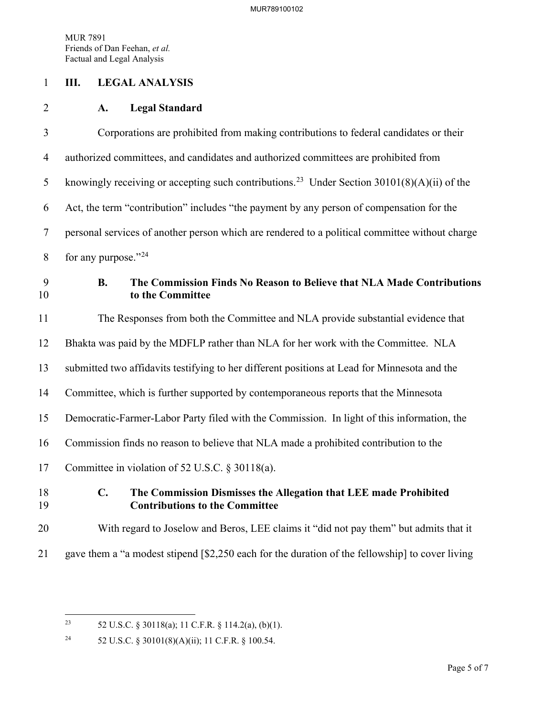#### 1 **III. LEGAL ANALYSIS**

#### 2 **A. Legal Standard**

3 Corporations are prohibited from making contributions to federal candidates or their 4 authorized committees, and candidates and authorized committees are prohibited from 5 knowingly receiving or accepting such contributions.<sup>[23](#page-5-0)</sup> Under Section 30101(8)(A)(ii) of the 6 Act, the term "contribution" includes "the payment by any person of compensation for the 7 personal services of another person which are rendered to a political committee without charge 8 for any purpose." $^{24}$  $^{24}$  $^{24}$ 9 **B. The Commission Finds No Reason to Believe that NLA Made Contributions**  10 **to the Committee**

11 The Responses from both the Committee and NLA provide substantial evidence that 12 Bhakta was paid by the MDFLP rather than NLA for her work with the Committee. NLA 13 submitted two affidavits testifying to her different positions at Lead for Minnesota and the 14 Committee, which is further supported by contemporaneous reports that the Minnesota 15 Democratic-Farmer-Labor Party filed with the Commission. In light of this information, the 16 Commission finds no reason to believe that NLA made a prohibited contribution to the 17 Committee in violation of 52 U.S.C. § 30118(a).

## 18 **C. The Commission Dismisses the Allegation that LEE made Prohibited**  19 **Contributions to the Committee**

## 20 With regard to Joselow and Beros, LEE claims it "did not pay them" but admits that it

21 gave them a "a modest stipend [\$2,250 each for the duration of the fellowship] to cover living

<span id="page-5-0"></span><sup>&</sup>lt;sup>23</sup> 52 U.S.C. § 30118(a); 11 C.F.R. § 114.2(a), (b)(1).

<span id="page-5-1"></span><sup>24 52</sup> U.S.C. § 30101(8)(A)(ii); 11 C.F.R. § 100.54.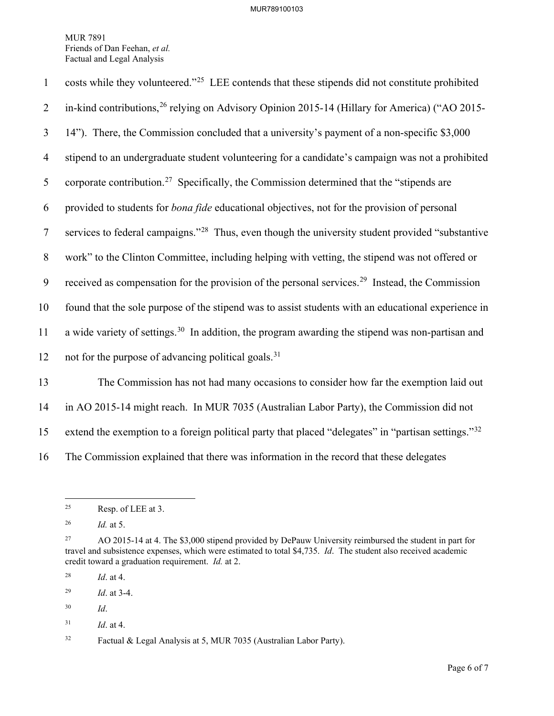| $\mathbf{1}$   | costs while they volunteered." <sup>25</sup> LEE contends that these stipends did not constitute prohibited   |
|----------------|---------------------------------------------------------------------------------------------------------------|
| 2              | in-kind contributions, <sup>26</sup> relying on Advisory Opinion 2015-14 (Hillary for America) ("AO 2015-     |
| $\mathfrak{Z}$ | 14"). There, the Commission concluded that a university's payment of a non-specific \$3,000                   |
| $\overline{4}$ | stipend to an undergraduate student volunteering for a candidate's campaign was not a prohibited              |
| 5              | corporate contribution. <sup>27</sup> Specifically, the Commission determined that the "stipends are          |
| 6              | provided to students for <i>bona fide</i> educational objectives, not for the provision of personal           |
| $\tau$         | services to federal campaigns." <sup>28</sup> Thus, even though the university student provided "substantive" |
| $8\phantom{.}$ | work" to the Clinton Committee, including helping with vetting, the stipend was not offered or                |
| 9              | received as compensation for the provision of the personal services. <sup>29</sup> Instead, the Commission    |
| 10             | found that the sole purpose of the stipend was to assist students with an educational experience in           |
| 11             | a wide variety of settings. <sup>30</sup> In addition, the program awarding the stipend was non-partisan and  |
| 12             | not for the purpose of advancing political goals. <sup>31</sup>                                               |
| 13             | The Commission has not had many occasions to consider how far the exemption laid out                          |
| 14             | in AO 2015-14 might reach. In MUR 7035 (Australian Labor Party), the Commission did not                       |

15 extend the exemption to a foreign political party that placed "delegates" in "partisan settings."<sup>[32](#page-6-7)</sup>

16 The Commission explained that there was information in the record that these delegates

<span id="page-6-0"></span> $25$  Resp. of LEE at 3.

<span id="page-6-1"></span><sup>26</sup> *Id.* at 5.

<span id="page-6-2"></span><sup>&</sup>lt;sup>27</sup> AO 2015-14 at 4. The \$3,000 stipend provided by DePauw University reimbursed the student in part for travel and subsistence expenses, which were estimated to total \$4,735. *Id*. The student also received academic credit toward a graduation requirement. *Id.* at 2.

<span id="page-6-3"></span><sup>28</sup> *Id*. at 4.

<span id="page-6-4"></span><sup>29</sup> *Id*. at 3-4.

<span id="page-6-5"></span><sup>30</sup> *Id*.

<span id="page-6-6"></span><sup>31</sup> *Id*. at 4.

<span id="page-6-7"></span><sup>32</sup> Factual & Legal Analysis at 5, MUR 7035 (Australian Labor Party).